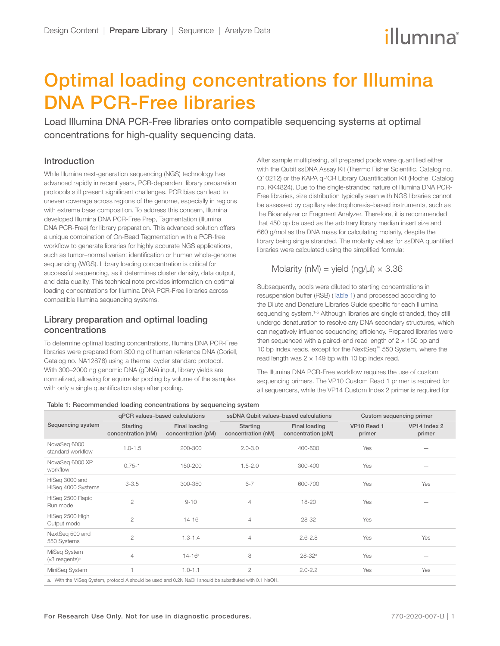# <span id="page-0-0"></span>Optimal loading concentrations for Illumina DNA PCR-Free libraries

Load Illumina DNA PCR-Free libraries onto compatible sequencing systems at optimal concentrations for high-quality sequencing data.

### Introduction

While Illumina next-generation sequencing (NGS) technology has advanced rapidly in recent years, PCR-dependent library preparation protocols still present significant challenges. PCR bias can lead to uneven coverage across regions of the genome, especially in regions with extreme base composition. To address this concern, Illumina developed Illumina DNA PCR-Free Prep, Tagmentation (Illumina DNA PCR-Free) for library preparation. This advanced solution offers a unique combination of On-Bead Tagmentation with a PCR-free workflow to generate libraries for highly accurate NGS applications, such as tumor–normal variant identification or human whole-genome sequencing (WGS). Library loading concentration is critical for successful sequencing, as it determines cluster density, data output, and data quality. This technical note provides information on optimal loading concentrations for Illumina DNA PCR-Free libraries across compatible Illumina sequencing systems.

# Library preparation and optimal loading concentrations

To determine optimal loading concentrations, Illumina DNA PCR-Free libraries were prepared from 300 ng of human reference DNA (Coriell, Catalog no. NA12878) using a thermal cycler standard protocol. With 300–2000 ng genomic DNA (gDNA) input, library yields are normalized, allowing for equimolar pooling by volume of the samples with only a single quantification step after pooling.

After sample multiplexing, all prepared pools were quantified either with the Qubit ssDNA Assay Kit (Thermo Fisher Scientific, Catalog no. Q10212) or the KAPA qPCR Library Quantification Kit (Roche, Catalog no. KK4824). Due to the single-stranded nature of Illumina DNA PCR-Free libraries, size distribution typically seen with NGS libraries cannot be assessed by capillary electrophoresis–based instruments, such as the Bioanalyzer or Fragment Analyzer. Therefore, it is recommended that 450 bp be used as the arbitrary library median insert size and 660 g/mol as the DNA mass for calculating molarity, despite the library being single stranded. The molarity values for ssDNA quantified libraries were calculated using the simplified formula:

# Molarity (nM) = yield (ng/ $\mu$ l)  $\times$  3.36

Subsequently, pools were diluted to starting concentrations in resuspension buffer (RSB) (Table 1) and processed according to the Dilute and Denature Libraries Guide specific for each Illumina sequencing system.<sup>[1](#page-1-0)[-5](#page-1-1)</sup> Although libraries are single stranded, they still undergo denaturation to resolve any DNA secondary structures, which can negatively influence sequencing efficiency. Prepared libraries were then sequenced with a paired-end read length of  $2 \times 150$  bp and 10 bp index reads, except for the NextSeq™ 550 System, where the read length was  $2 \times 149$  bp with 10 bp index read.

The Illumina DNA PCR-Free workflow requires the use of custom sequencing primers. The VP10 Custom Read 1 primer is required for all sequencers, while the VP14 Custom Index 2 primer is required for

|                                              | qPCR values-based calculations                                                                         |                                     |                                | ssDNA Qubit values-based calculations | Custom sequencing primer |                        |
|----------------------------------------------|--------------------------------------------------------------------------------------------------------|-------------------------------------|--------------------------------|---------------------------------------|--------------------------|------------------------|
| Sequencing system                            | <b>Starting</b><br>concentration (nM)                                                                  | Final loading<br>concentration (pM) | Starting<br>concentration (nM) | Final loading<br>concentration (pM)   | VP10 Read 1<br>primer    | VP14 Index 2<br>primer |
| NovaSeq 6000<br>standard workflow            | $1.0 - 1.5$                                                                                            | 200-300                             | $2.0 - 3.0$                    | 400-600                               | Yes                      |                        |
| NovaSeg 6000 XP<br>workflow                  | $0.75 - 1$                                                                                             | 150-200                             | $1.5 - 2.0$                    | 300-400                               | Yes                      |                        |
| HiSeg 3000 and<br>HiSeg 4000 Systems         | $3 - 3.5$                                                                                              | 300-350                             | $6 - 7$                        | 600-700                               | Yes                      | Yes                    |
| HiSeg 2500 Rapid<br>Run mode                 | $\overline{c}$                                                                                         | $9 - 10$                            | $\overline{4}$                 | $18 - 20$                             | Yes                      |                        |
| HiSeg 2500 High<br>Output mode               | $\overline{2}$                                                                                         | $14 - 16$                           | $\overline{4}$                 | 28-32                                 | Yes                      |                        |
| NextSeq 500 and<br>550 Systems               | $\overline{2}$                                                                                         | $1.3 - 1.4$                         | $\overline{4}$                 | $2.6 - 2.8$                           | Yes                      | Yes                    |
| MiSeq System<br>$(v3$ reagents) <sup>a</sup> | 4                                                                                                      | $14 - 16^a$                         | 8                              | $28 - 32^a$                           | Yes                      |                        |
| MiniSeg System                               |                                                                                                        | $1.0 - 1.1$                         | $\overline{c}$                 | $2.0 - 2.2$                           | Yes                      | Yes                    |
|                                              | a. With the MiSeq System, protocol A should be used and 0.2N NaOH should be substituted with 0.1 NaOH. |                                     |                                |                                       |                          |                        |